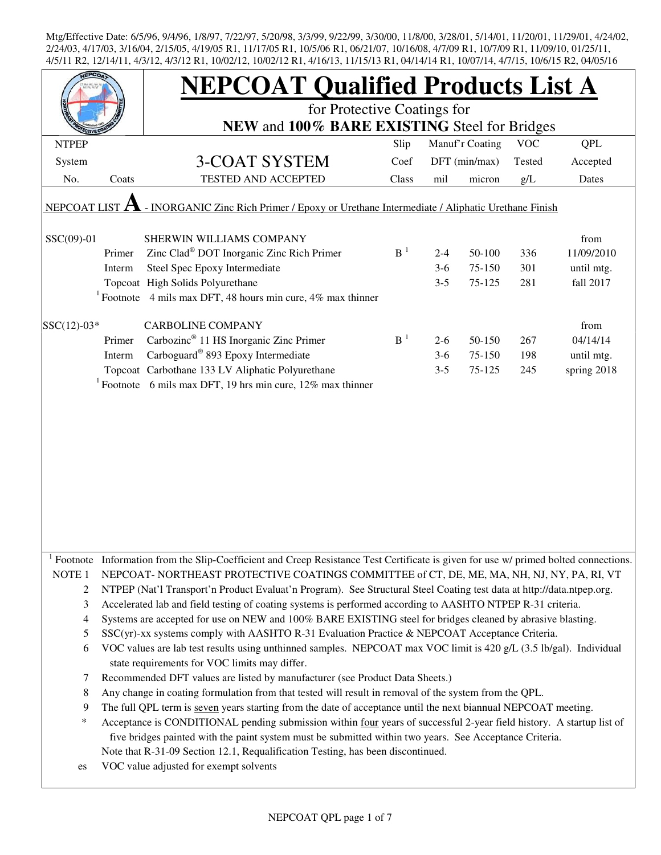|                     |        | <b>NEPCOAT Qualified Products List A</b>                                                                                            |                |         |                 |            |             |  |  |  |  |
|---------------------|--------|-------------------------------------------------------------------------------------------------------------------------------------|----------------|---------|-----------------|------------|-------------|--|--|--|--|
|                     |        | for Protective Coatings for                                                                                                         |                |         |                 |            |             |  |  |  |  |
|                     |        | NEW and 100% BARE EXISTING Steel for Bridges                                                                                        |                |         |                 |            |             |  |  |  |  |
| <b>NTPEP</b>        |        |                                                                                                                                     | Slip           |         | Manuf'r Coating | <b>VOC</b> | <b>QPL</b>  |  |  |  |  |
| System              |        | 3-COAT SYSTEM                                                                                                                       | Coef           |         | DFT (min/max)   | Tested     | Accepted    |  |  |  |  |
| No.                 | Coats  | TESTED AND ACCEPTED                                                                                                                 | Class          | mil     | micron          | g/L        | Dates       |  |  |  |  |
|                     |        |                                                                                                                                     |                |         |                 |            |             |  |  |  |  |
| <b>NEPCOAT LIST</b> | A      | - INORGANIC Zinc Rich Primer / Epoxy or Urethane Intermediate / Aliphatic Urethane Finish                                           |                |         |                 |            |             |  |  |  |  |
| SSC(09)-01          |        | SHERWIN WILLIAMS COMPANY                                                                                                            |                |         |                 |            | from        |  |  |  |  |
|                     | Primer | Zinc Clad <sup>®</sup> DOT Inorganic Zinc Rich Primer                                                                               | B <sup>1</sup> | $2 - 4$ | 50-100          | 336        | 11/09/2010  |  |  |  |  |
|                     | Interm | Steel Spec Epoxy Intermediate                                                                                                       |                | $3-6$   | 75-150          | 301        | until mtg.  |  |  |  |  |
|                     |        | Topcoat High Solids Polyurethane                                                                                                    |                | $3 - 5$ | 75-125          | 281        | fall 2017   |  |  |  |  |
|                     |        | <sup>1</sup> Footnote 4 mils max DFT, 48 hours min cure, 4% max thinner                                                             |                |         |                 |            |             |  |  |  |  |
|                     |        |                                                                                                                                     |                |         |                 |            |             |  |  |  |  |
| $SSC(12)-03*$       |        | <b>CARBOLINE COMPANY</b>                                                                                                            |                |         |                 |            | from        |  |  |  |  |
|                     | Primer | Carbozinc <sup>®</sup> 11 HS Inorganic Zinc Primer                                                                                  | $B-1$          | $2-6$   | 50-150          | 267        | 04/14/14    |  |  |  |  |
|                     | Interm | Carboguard <sup>®</sup> 893 Epoxy Intermediate                                                                                      |                | $3-6$   | 75-150          | 198        | until mtg.  |  |  |  |  |
|                     |        | Topcoat Carbothane 133 LV Aliphatic Polyurethane                                                                                    |                | $3 - 5$ | 75-125          | 245        | spring 2018 |  |  |  |  |
|                     |        | $1$ Footnote 6 mils max DFT, 19 hrs min cure, 12% max thinner                                                                       |                |         |                 |            |             |  |  |  |  |
|                     |        |                                                                                                                                     |                |         |                 |            |             |  |  |  |  |
|                     |        |                                                                                                                                     |                |         |                 |            |             |  |  |  |  |
|                     |        |                                                                                                                                     |                |         |                 |            |             |  |  |  |  |
|                     |        |                                                                                                                                     |                |         |                 |            |             |  |  |  |  |
|                     |        |                                                                                                                                     |                |         |                 |            |             |  |  |  |  |
|                     |        |                                                                                                                                     |                |         |                 |            |             |  |  |  |  |
|                     |        |                                                                                                                                     |                |         |                 |            |             |  |  |  |  |
|                     |        |                                                                                                                                     |                |         |                 |            |             |  |  |  |  |
|                     |        |                                                                                                                                     |                |         |                 |            |             |  |  |  |  |
|                     |        |                                                                                                                                     |                |         |                 |            |             |  |  |  |  |
|                     |        |                                                                                                                                     |                |         |                 |            |             |  |  |  |  |
|                     |        | Footnote Information from the Slip-Coefficient and Creep Resistance Test Certificate is given for use w/ primed bolted connections. |                |         |                 |            |             |  |  |  |  |
| NOTE <sub>1</sub>   |        | NEPCOAT-NORTHEAST PROTECTIVE COATINGS COMMITTEE of CT, DE, ME, MA, NH, NJ, NY, PA, RI, VT                                           |                |         |                 |            |             |  |  |  |  |
| 2                   |        | NTPEP (Nat'l Transport'n Product Evaluat'n Program). See Structural Steel Coating test data at http://data.ntpep.org.               |                |         |                 |            |             |  |  |  |  |
| 3                   |        | Accelerated lab and field testing of coating systems is performed according to AASHTO NTPEP R-31 criteria.                          |                |         |                 |            |             |  |  |  |  |
| 4                   |        | Systems are accepted for use on NEW and 100% BARE EXISTING steel for bridges cleaned by abrasive blasting.                          |                |         |                 |            |             |  |  |  |  |
| 5                   |        | SSC(yr)-xx systems comply with AASHTO R-31 Evaluation Practice & NEPCOAT Acceptance Criteria.                                       |                |         |                 |            |             |  |  |  |  |
| 6                   |        | VOC values are lab test results using unthinned samples. NEPCOAT max VOC limit is 420 g/L (3.5 lb/gal). Individual                  |                |         |                 |            |             |  |  |  |  |
|                     |        | state requirements for VOC limits may differ.                                                                                       |                |         |                 |            |             |  |  |  |  |
| 7                   |        | Recommended DFT values are listed by manufacturer (see Product Data Sheets.)                                                        |                |         |                 |            |             |  |  |  |  |
| 8                   |        | Any change in coating formulation from that tested will result in removal of the system from the QPL.                               |                |         |                 |            |             |  |  |  |  |
| 9                   |        | The full QPL term is seven years starting from the date of acceptance until the next biannual NEPCOAT meeting.                      |                |         |                 |            |             |  |  |  |  |
| *                   |        | Acceptance is CONDITIONAL pending submission within four years of successful 2-year field history. A startup list of                |                |         |                 |            |             |  |  |  |  |
|                     |        | five bridges painted with the paint system must be submitted within two years. See Acceptance Criteria.                             |                |         |                 |            |             |  |  |  |  |
|                     |        | Note that R-31-09 Section 12.1, Requalification Testing, has been discontinued.                                                     |                |         |                 |            |             |  |  |  |  |
| es                  |        | VOC value adjusted for exempt solvents                                                                                              |                |         |                 |            |             |  |  |  |  |
|                     |        |                                                                                                                                     |                |         |                 |            |             |  |  |  |  |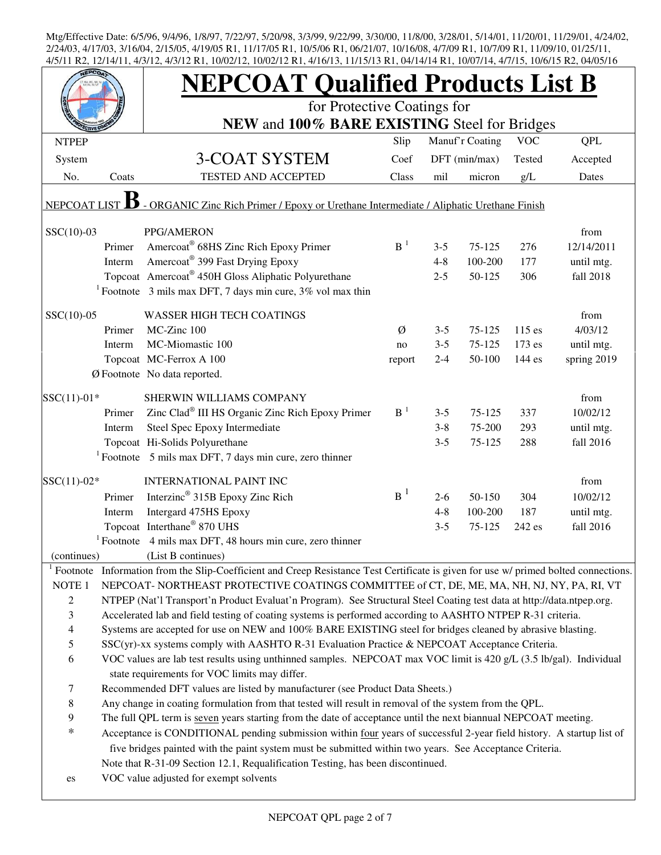|                   |        | <b>NEPCOAT Qualified Products List B</b>                                                                                   |                |         |                 |            |                 |  |
|-------------------|--------|----------------------------------------------------------------------------------------------------------------------------|----------------|---------|-----------------|------------|-----------------|--|
|                   |        | for Protective Coatings for<br>NEW and 100% BARE EXISTING Steel for Bridges                                                |                |         |                 |            |                 |  |
|                   |        |                                                                                                                            |                |         |                 | <b>VOC</b> |                 |  |
| <b>NTPEP</b>      |        |                                                                                                                            | Slip           |         | Manuf'r Coating |            | <b>QPL</b>      |  |
| System            |        | 3-COAT SYSTEM                                                                                                              | Coef           |         | DFT (min/max)   | Tested     | Accepted        |  |
| No.               | Coats  | <b>TESTED AND ACCEPTED</b>                                                                                                 | Class          | mil     | micron          | g/L        | Dates           |  |
| NEPCOAT LIST      |        | - ORGANIC Zinc Rich Primer / Epoxy or Urethane Intermediate / Aliphatic Urethane Finish                                    |                |         |                 |            |                 |  |
| $SSC(10)-03$      |        | PPG/AMERON                                                                                                                 |                |         |                 |            | from            |  |
|                   | Primer | Amercoat® 68HS Zinc Rich Epoxy Primer                                                                                      | $B-1$          | $3 - 5$ | $75 - 125$      | 276        | 12/14/2011      |  |
|                   | Interm | Amercoat <sup>®</sup> 399 Fast Drying Epoxy                                                                                |                | $4 - 8$ | 100-200         | 177        | until mtg.      |  |
|                   |        | Topcoat Amercoat® 450H Gloss Aliphatic Polyurethane                                                                        |                | $2 - 5$ | 50-125          | 306        | fall 2018       |  |
|                   |        | <sup>1</sup> Footnote 3 mils max DFT, 7 days min cure, $3\%$ vol max thin                                                  |                |         |                 |            |                 |  |
|                   |        |                                                                                                                            |                |         |                 |            |                 |  |
| $SSC(10)-05$      | Primer | <b>WASSER HIGH TECH COATINGS</b><br>MC-Zinc 100                                                                            | Ø              | $3 - 5$ | 75-125          | $115$ es   | from<br>4/03/12 |  |
|                   | Interm | MC-Miomastic 100                                                                                                           |                | $3 - 5$ | 75-125          | $173$ es   | until mtg.      |  |
|                   |        | Topcoat MC-Ferrox A 100                                                                                                    | no             | $2 - 4$ | 50-100          | 144 es     | spring 2019     |  |
|                   |        | Ø Footnote No data reported.                                                                                               | report         |         |                 |            |                 |  |
|                   |        |                                                                                                                            |                |         |                 |            |                 |  |
| $SSC(11)-01*$     |        | SHERWIN WILLIAMS COMPANY                                                                                                   |                |         |                 |            | from            |  |
|                   | Primer | Zinc Clad® III HS Organic Zinc Rich Epoxy Primer                                                                           | B <sup>1</sup> | $3 - 5$ | 75-125          | 337        | 10/02/12        |  |
|                   | Interm | Steel Spec Epoxy Intermediate                                                                                              |                | $3 - 8$ | 75-200          | 293        | until mtg.      |  |
|                   |        | Topcoat Hi-Solids Polyurethane                                                                                             |                | $3 - 5$ | 75-125          | 288        | fall 2016       |  |
|                   |        | $1$ Footnote 5 mils max DFT, 7 days min cure, zero thinner                                                                 |                |         |                 |            |                 |  |
| $SSC(11)-02*$     |        | <b>INTERNATIONAL PAINT INC</b>                                                                                             |                |         |                 |            | from            |  |
|                   | Primer | Interzinc <sup>®</sup> 315B Epoxy Zinc Rich                                                                                | $B^1$          | $2 - 6$ | 50-150          | 304        | 10/02/12        |  |
|                   | Interm | Intergard 475HS Epoxy                                                                                                      |                | $4 - 8$ | 100-200         | 187        | until mtg.      |  |
|                   |        | Topcoat Interthane® 870 UHS                                                                                                |                | $3 - 5$ | 75-125          | 242 es     | fall 2016       |  |
|                   |        | $1$ Footnote 4 mils max DFT, 48 hours min cure, zero thinner                                                               |                |         |                 |            |                 |  |
| (continues)       |        | (List B continues)                                                                                                         |                |         |                 |            |                 |  |
| Footnote          |        | Information from the Slip-Coefficient and Creep Resistance Test Certificate is given for use w/ primed bolted connections. |                |         |                 |            |                 |  |
| NOTE <sub>1</sub> |        | NEPCOAT-NORTHEAST PROTECTIVE COATINGS COMMITTEE of CT, DE, ME, MA, NH, NJ, NY, PA, RI, VT                                  |                |         |                 |            |                 |  |
| 2                 |        | NTPEP (Nat'l Transport'n Product Evaluat'n Program). See Structural Steel Coating test data at http://data.ntpep.org.      |                |         |                 |            |                 |  |
| 3                 |        | Accelerated lab and field testing of coating systems is performed according to AASHTO NTPEP R-31 criteria.                 |                |         |                 |            |                 |  |
| $\overline{4}$    |        | Systems are accepted for use on NEW and 100% BARE EXISTING steel for bridges cleaned by abrasive blasting.                 |                |         |                 |            |                 |  |
| 5                 |        | SSC(yr)-xx systems comply with AASHTO R-31 Evaluation Practice & NEPCOAT Acceptance Criteria.                              |                |         |                 |            |                 |  |
| 6                 |        | VOC values are lab test results using unthinned samples. NEPCOAT max VOC limit is 420 g/L (3.5 lb/gal). Individual         |                |         |                 |            |                 |  |
|                   |        | state requirements for VOC limits may differ.                                                                              |                |         |                 |            |                 |  |
| 7                 |        | Recommended DFT values are listed by manufacturer (see Product Data Sheets.)                                               |                |         |                 |            |                 |  |
| $\,8\,$           |        | Any change in coating formulation from that tested will result in removal of the system from the QPL.                      |                |         |                 |            |                 |  |
| 9                 |        | The full QPL term is seven years starting from the date of acceptance until the next biannual NEPCOAT meeting.             |                |         |                 |            |                 |  |
| $\ast$            |        | Acceptance is CONDITIONAL pending submission within four years of successful 2-year field history. A startup list of       |                |         |                 |            |                 |  |
|                   |        | five bridges painted with the paint system must be submitted within two years. See Acceptance Criteria.                    |                |         |                 |            |                 |  |
|                   |        | Note that R-31-09 Section 12.1, Requalification Testing, has been discontinued.                                            |                |         |                 |            |                 |  |
| es                |        | VOC value adjusted for exempt solvents                                                                                     |                |         |                 |            |                 |  |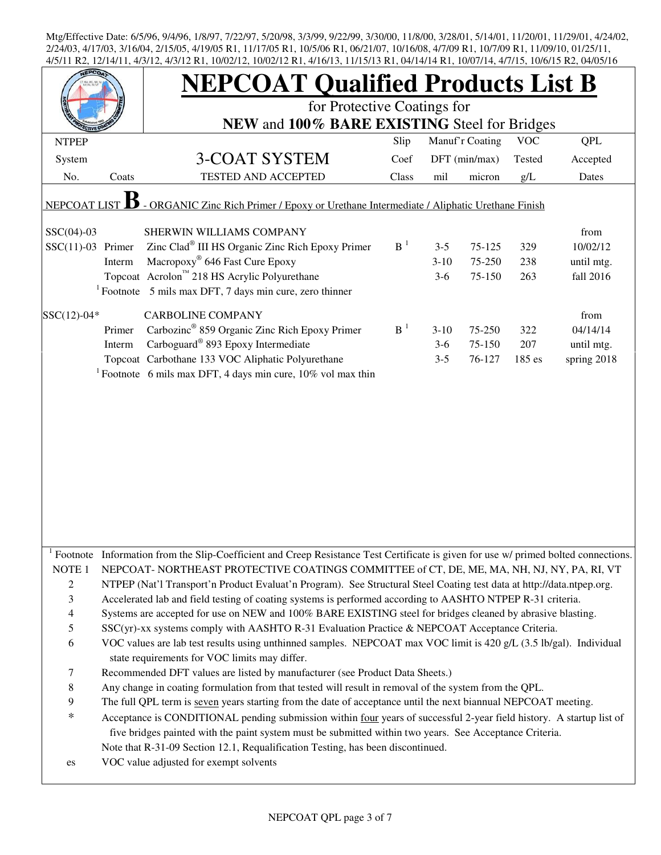| $+13111 \text{ K}$       |        | 12/14/11, 4/9/12, 4/9/12 INT, 10/02/12, 10/02/12 INT, 4/10/19, 11/19/19 INT, 04/14/14 INT, 10/07/14, 4/7/19, 10/0719 INZ, 04/09/10  |       |         |                 |            |             |  |  |  |
|--------------------------|--------|-------------------------------------------------------------------------------------------------------------------------------------|-------|---------|-----------------|------------|-------------|--|--|--|
|                          |        | <b>NEPCOAT Qualified Products List B</b><br>for Protective Coatings for                                                             |       |         |                 |            |             |  |  |  |
|                          |        | NEW and 100% BARE EXISTING Steel for Bridges                                                                                        |       |         |                 |            |             |  |  |  |
| <b>NTPEP</b>             |        |                                                                                                                                     | Slip  |         | Manuf'r Coating | <b>VOC</b> | <b>QPL</b>  |  |  |  |
| System                   |        | 3-COAT SYSTEM                                                                                                                       | Coef  |         | DFT (min/max)   | Tested     | Accepted    |  |  |  |
| No.                      | Coats  | TESTED AND ACCEPTED                                                                                                                 | Class | mil     | micron          | g/L        | Dates       |  |  |  |
| <b>NEPCOAT</b>           |        | - ORGANIC Zinc Rich Primer / Epoxy or Urethane Intermediate / Aliphatic Urethane Finish                                             |       |         |                 |            |             |  |  |  |
|                          |        |                                                                                                                                     |       |         |                 |            |             |  |  |  |
| $SSC(04)-03$             |        | SHERWIN WILLIAMS COMPANY                                                                                                            |       |         |                 |            | from        |  |  |  |
| $SSC(11)-03$ Primer      |        | Zinc Clad <sup>®</sup> III HS Organic Zinc Rich Epoxy Primer                                                                        | $B-1$ | $3 - 5$ | 75-125          | 329        | 10/02/12    |  |  |  |
|                          | Interm | Macropoxy <sup>®</sup> 646 Fast Cure Epoxy                                                                                          |       | $3-10$  | 75-250          | 238        | until mtg.  |  |  |  |
|                          |        | Topcoat Acrolon <sup>™</sup> 218 HS Acrylic Polyurethane                                                                            |       | $3-6$   | 75-150          | 263        | fall 2016   |  |  |  |
|                          |        | $1$ Footnote 5 mils max DFT, 7 days min cure, zero thinner                                                                          |       |         |                 |            |             |  |  |  |
| $SSC(12)-04*$            |        | <b>CARBOLINE COMPANY</b>                                                                                                            |       |         |                 |            | from        |  |  |  |
|                          | Primer | Carbozinc <sup>®</sup> 859 Organic Zinc Rich Epoxy Primer                                                                           | $B-1$ | $3-10$  | 75-250          | 322        | 04/14/14    |  |  |  |
|                          | Interm | Carboguard <sup>®</sup> 893 Epoxy Intermediate                                                                                      |       | $3-6$   | 75-150          | 207        | until mtg.  |  |  |  |
|                          |        | Topcoat Carbothane 133 VOC Aliphatic Polyurethane                                                                                   |       | $3 - 5$ | 76-127          | 185 es     | spring 2018 |  |  |  |
|                          |        | <sup>1</sup> Footnote 6 mils max DFT, 4 days min cure, $10\%$ vol max thin                                                          |       |         |                 |            |             |  |  |  |
|                          |        |                                                                                                                                     |       |         |                 |            |             |  |  |  |
|                          |        |                                                                                                                                     |       |         |                 |            |             |  |  |  |
|                          |        |                                                                                                                                     |       |         |                 |            |             |  |  |  |
|                          |        |                                                                                                                                     |       |         |                 |            |             |  |  |  |
|                          |        |                                                                                                                                     |       |         |                 |            |             |  |  |  |
|                          |        |                                                                                                                                     |       |         |                 |            |             |  |  |  |
|                          |        |                                                                                                                                     |       |         |                 |            |             |  |  |  |
|                          |        |                                                                                                                                     |       |         |                 |            |             |  |  |  |
|                          |        |                                                                                                                                     |       |         |                 |            |             |  |  |  |
|                          |        |                                                                                                                                     |       |         |                 |            |             |  |  |  |
|                          |        |                                                                                                                                     |       |         |                 |            |             |  |  |  |
|                          |        | Footnote Information from the Slip-Coefficient and Creep Resistance Test Certificate is given for use w/ primed bolted connections. |       |         |                 |            |             |  |  |  |
| NOTE <sub>1</sub>        |        | NEPCOAT-NORTHEAST PROTECTIVE COATINGS COMMITTEE of CT, DE, ME, MA, NH, NJ, NY, PA, RI, VT                                           |       |         |                 |            |             |  |  |  |
| $\overline{c}$           |        | NTPEP (Nat'l Transport'n Product Evaluat'n Program). See Structural Steel Coating test data at http://data.ntpep.org.               |       |         |                 |            |             |  |  |  |
| 3                        |        | Accelerated lab and field testing of coating systems is performed according to AASHTO NTPEP R-31 criteria.                          |       |         |                 |            |             |  |  |  |
| $\overline{\mathcal{A}}$ |        | Systems are accepted for use on NEW and 100% BARE EXISTING steel for bridges cleaned by abrasive blasting.                          |       |         |                 |            |             |  |  |  |
| 5                        |        | SSC(yr)-xx systems comply with AASHTO R-31 Evaluation Practice & NEPCOAT Acceptance Criteria.                                       |       |         |                 |            |             |  |  |  |
| 6                        |        | VOC values are lab test results using unthinned samples. NEPCOAT max VOC limit is 420 g/L (3.5 lb/gal). Individual                  |       |         |                 |            |             |  |  |  |
|                          |        | state requirements for VOC limits may differ.                                                                                       |       |         |                 |            |             |  |  |  |
| 7                        |        | Recommended DFT values are listed by manufacturer (see Product Data Sheets.)                                                        |       |         |                 |            |             |  |  |  |
| 8                        |        | Any change in coating formulation from that tested will result in removal of the system from the QPL.                               |       |         |                 |            |             |  |  |  |
| 9                        |        | The full QPL term is seven years starting from the date of acceptance until the next biannual NEPCOAT meeting.                      |       |         |                 |            |             |  |  |  |
| $\ast$                   |        | Acceptance is CONDITIONAL pending submission within four years of successful 2-year field history. A startup list of                |       |         |                 |            |             |  |  |  |
|                          |        | five bridges painted with the paint system must be submitted within two years. See Acceptance Criteria.                             |       |         |                 |            |             |  |  |  |
|                          |        | Note that R-31-09 Section 12.1, Requalification Testing, has been discontinued.                                                     |       |         |                 |            |             |  |  |  |
| es                       |        | VOC value adjusted for exempt solvents                                                                                              |       |         |                 |            |             |  |  |  |
|                          |        |                                                                                                                                     |       |         |                 |            |             |  |  |  |
|                          |        |                                                                                                                                     |       |         |                 |            |             |  |  |  |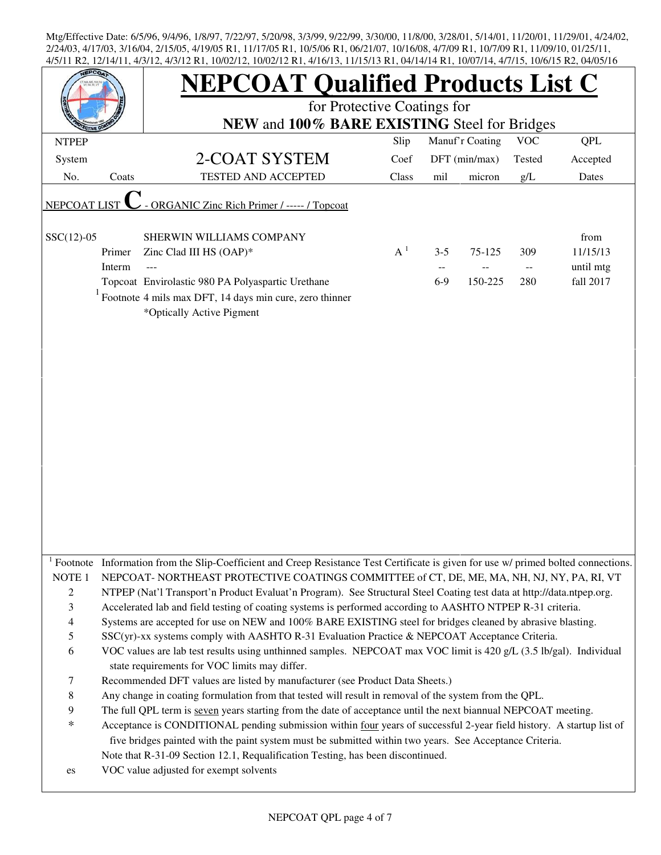|                   |        | <b>NEPCOAT Qualified Products List C</b><br>for Protective Coatings for                                                                                                                                                                                                                                                                           |       |         |                 |            |            |  |  |  |
|-------------------|--------|---------------------------------------------------------------------------------------------------------------------------------------------------------------------------------------------------------------------------------------------------------------------------------------------------------------------------------------------------|-------|---------|-----------------|------------|------------|--|--|--|
|                   |        | NEW and 100% BARE EXISTING Steel for Bridges                                                                                                                                                                                                                                                                                                      |       |         |                 |            |            |  |  |  |
| <b>NTPEP</b>      |        |                                                                                                                                                                                                                                                                                                                                                   | Slip  |         | Manuf'r Coating | <b>VOC</b> | <b>QPL</b> |  |  |  |
| System            |        | 2-COAT SYSTEM                                                                                                                                                                                                                                                                                                                                     | Coef  |         | DFT (min/max)   | Tested     | Accepted   |  |  |  |
| No.               | Coats  | TESTED AND ACCEPTED                                                                                                                                                                                                                                                                                                                               | Class | mil     | micron          | g/L        | Dates      |  |  |  |
| NEPCOAT LIST      |        | - ORGANIC Zinc Rich Primer / ----- / Topcoat                                                                                                                                                                                                                                                                                                      |       |         |                 |            |            |  |  |  |
| $SSC(12)-05$      |        | SHERWIN WILLIAMS COMPANY                                                                                                                                                                                                                                                                                                                          |       |         |                 |            | from       |  |  |  |
|                   | Primer | Zinc Clad III HS (OAP)*                                                                                                                                                                                                                                                                                                                           | $A^1$ | $3 - 5$ | 75-125          | 309        | 11/15/13   |  |  |  |
|                   | Interm | ---                                                                                                                                                                                                                                                                                                                                               |       |         |                 | $-$        | until mtg  |  |  |  |
|                   |        | Topcoat Envirolastic 980 PA Polyaspartic Urethane                                                                                                                                                                                                                                                                                                 |       | $6-9$   | 150-225         | 280        | fall 2017  |  |  |  |
|                   |        | $1$ Footnote 4 mils max DFT, 14 days min cure, zero thinner<br>*Optically Active Pigment                                                                                                                                                                                                                                                          |       |         |                 |            |            |  |  |  |
|                   |        | <sup>1</sup> Footnote Information from the Slip-Coefficient and Creep Resistance Test Certificate is given for use w/ primed bolted connections.                                                                                                                                                                                                  |       |         |                 |            |            |  |  |  |
| NOTE <sub>1</sub> |        | NEPCOAT- NORTHEAST PROTECTIVE COATINGS COMMITTEE of CT, DE, ME, MA, NH, NJ, NY, PA, RI, VT                                                                                                                                                                                                                                                        |       |         |                 |            |            |  |  |  |
| $\overline{c}$    |        | NTPEP (Nat'l Transport'n Product Evaluat'n Program). See Structural Steel Coating test data at http://data.ntpep.org.                                                                                                                                                                                                                             |       |         |                 |            |            |  |  |  |
| 3                 |        | Accelerated lab and field testing of coating systems is performed according to AASHTO NTPEP R-31 criteria.                                                                                                                                                                                                                                        |       |         |                 |            |            |  |  |  |
| $\overline{4}$    |        | Systems are accepted for use on NEW and 100% BARE EXISTING steel for bridges cleaned by abrasive blasting.                                                                                                                                                                                                                                        |       |         |                 |            |            |  |  |  |
| 5                 |        | SSC(yr)-xx systems comply with AASHTO R-31 Evaluation Practice & NEPCOAT Acceptance Criteria.                                                                                                                                                                                                                                                     |       |         |                 |            |            |  |  |  |
| 6                 |        | VOC values are lab test results using unthinned samples. NEPCOAT max VOC limit is 420 g/L (3.5 lb/gal). Individual<br>state requirements for VOC limits may differ.                                                                                                                                                                               |       |         |                 |            |            |  |  |  |
| 7                 |        | Recommended DFT values are listed by manufacturer (see Product Data Sheets.)                                                                                                                                                                                                                                                                      |       |         |                 |            |            |  |  |  |
| 8                 |        | Any change in coating formulation from that tested will result in removal of the system from the QPL.                                                                                                                                                                                                                                             |       |         |                 |            |            |  |  |  |
| 9<br>$\ast$       |        | The full QPL term is seven years starting from the date of acceptance until the next biannual NEPCOAT meeting.<br>Acceptance is CONDITIONAL pending submission within four years of successful 2-year field history. A startup list of<br>five bridges painted with the paint system must be submitted within two years. See Acceptance Criteria. |       |         |                 |            |            |  |  |  |
|                   |        | Note that R-31-09 Section 12.1, Requalification Testing, has been discontinued.                                                                                                                                                                                                                                                                   |       |         |                 |            |            |  |  |  |
| es                |        | VOC value adjusted for exempt solvents                                                                                                                                                                                                                                                                                                            |       |         |                 |            |            |  |  |  |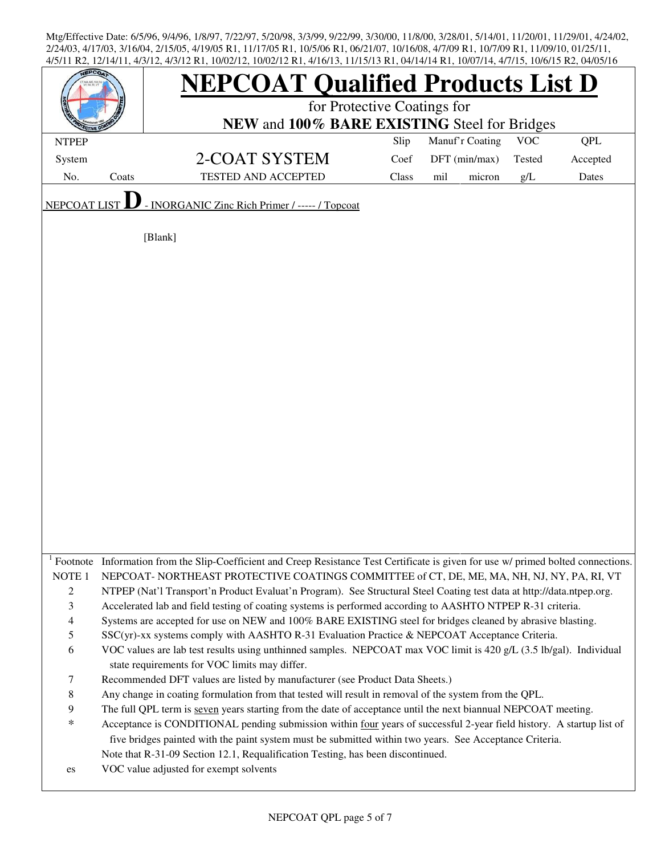|                                                                                                                               |       | $17.012$ , $17.012$ Ke, $10002$ Eq. $10002$ Eq. $11.0013$ , $111.013$ Exe, $0.011$ Eq. $100011$ Eq. $10113$ , $100013$ Ke, $0.00010$<br><b>NEPCOAT Qualified Products List D</b><br>for Protective Coatings for<br>NEW and 100% BARE EXISTING Steel for Bridges                                                                                                                                                                                                                                                                                                                                                                                                                                                                                                                                                                                                                                                                                                                                                                                                                                                                                                                                                                                                                                                                                                                                                                                                                                                                             |       |                 |            |            |  |  |
|-------------------------------------------------------------------------------------------------------------------------------|-------|---------------------------------------------------------------------------------------------------------------------------------------------------------------------------------------------------------------------------------------------------------------------------------------------------------------------------------------------------------------------------------------------------------------------------------------------------------------------------------------------------------------------------------------------------------------------------------------------------------------------------------------------------------------------------------------------------------------------------------------------------------------------------------------------------------------------------------------------------------------------------------------------------------------------------------------------------------------------------------------------------------------------------------------------------------------------------------------------------------------------------------------------------------------------------------------------------------------------------------------------------------------------------------------------------------------------------------------------------------------------------------------------------------------------------------------------------------------------------------------------------------------------------------------------|-------|-----------------|------------|------------|--|--|
|                                                                                                                               |       |                                                                                                                                                                                                                                                                                                                                                                                                                                                                                                                                                                                                                                                                                                                                                                                                                                                                                                                                                                                                                                                                                                                                                                                                                                                                                                                                                                                                                                                                                                                                             |       |                 | <b>VOC</b> |            |  |  |
| <b>NTPEP</b>                                                                                                                  |       |                                                                                                                                                                                                                                                                                                                                                                                                                                                                                                                                                                                                                                                                                                                                                                                                                                                                                                                                                                                                                                                                                                                                                                                                                                                                                                                                                                                                                                                                                                                                             | Slip  | Manuf'r Coating |            | <b>QPL</b> |  |  |
| System                                                                                                                        |       | 2-COAT SYSTEM                                                                                                                                                                                                                                                                                                                                                                                                                                                                                                                                                                                                                                                                                                                                                                                                                                                                                                                                                                                                                                                                                                                                                                                                                                                                                                                                                                                                                                                                                                                               | Coef  | DFT (min/max)   | Tested     | Accepted   |  |  |
| No.                                                                                                                           | Coats | <b>TESTED AND ACCEPTED</b>                                                                                                                                                                                                                                                                                                                                                                                                                                                                                                                                                                                                                                                                                                                                                                                                                                                                                                                                                                                                                                                                                                                                                                                                                                                                                                                                                                                                                                                                                                                  | Class | mil<br>micron   | g/L        | Dates      |  |  |
| <b>NEPCOAT LIST</b>                                                                                                           |       | - INORGANIC Zinc Rich Primer / ----- / Topcoat                                                                                                                                                                                                                                                                                                                                                                                                                                                                                                                                                                                                                                                                                                                                                                                                                                                                                                                                                                                                                                                                                                                                                                                                                                                                                                                                                                                                                                                                                              |       |                 |            |            |  |  |
|                                                                                                                               |       | [Blank]                                                                                                                                                                                                                                                                                                                                                                                                                                                                                                                                                                                                                                                                                                                                                                                                                                                                                                                                                                                                                                                                                                                                                                                                                                                                                                                                                                                                                                                                                                                                     |       |                 |            |            |  |  |
| NOTE <sub>1</sub><br>$\boldsymbol{2}$<br>$\mathfrak{Z}$<br>$\overline{4}$<br>5<br>6<br>$\tau$<br>$\,8\,$<br>9<br>$\ast$<br>es |       | Footnote Information from the Slip-Coefficient and Creep Resistance Test Certificate is given for use w/ primed bolted connections.<br>NEPCOAT-NORTHEAST PROTECTIVE COATINGS COMMITTEE of CT, DE, ME, MA, NH, NJ, NY, PA, RI, VT<br>NTPEP (Nat'l Transport'n Product Evaluat'n Program). See Structural Steel Coating test data at http://data.ntpep.org.<br>Accelerated lab and field testing of coating systems is performed according to AASHTO NTPEP R-31 criteria.<br>Systems are accepted for use on NEW and 100% BARE EXISTING steel for bridges cleaned by abrasive blasting.<br>$SSC(yr)$ -xx systems comply with AASHTO R-31 Evaluation Practice & NEPCOAT Acceptance Criteria.<br>VOC values are lab test results using unthinned samples. NEPCOAT max VOC limit is 420 g/L (3.5 lb/gal). Individual<br>state requirements for VOC limits may differ.<br>Recommended DFT values are listed by manufacturer (see Product Data Sheets.)<br>Any change in coating formulation from that tested will result in removal of the system from the QPL.<br>The full QPL term is seven years starting from the date of acceptance until the next biannual NEPCOAT meeting.<br>Acceptance is CONDITIONAL pending submission within four years of successful 2-year field history. A startup list of<br>five bridges painted with the paint system must be submitted within two years. See Acceptance Criteria.<br>Note that R-31-09 Section 12.1, Requalification Testing, has been discontinued.<br>VOC value adjusted for exempt solvents |       |                 |            |            |  |  |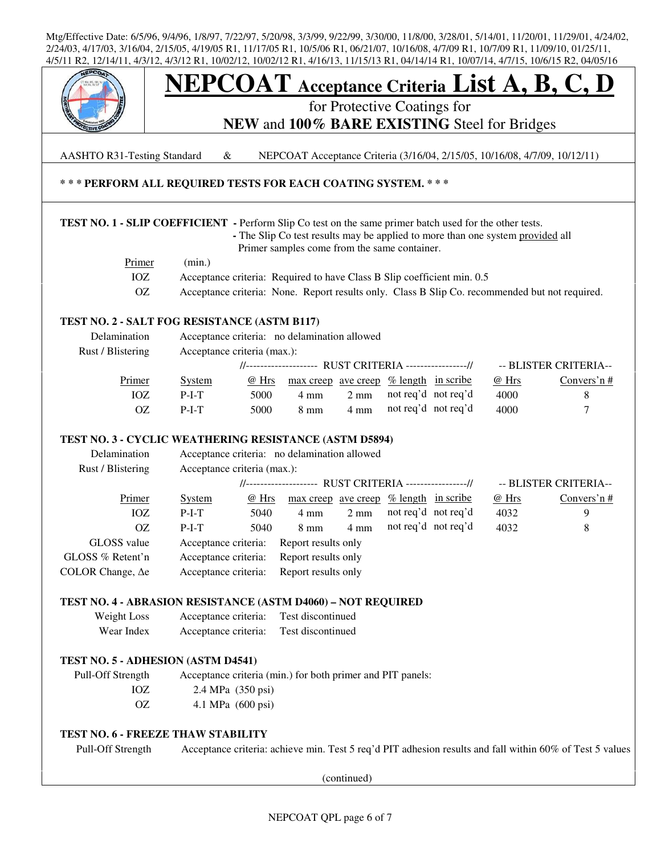

AASHTO R31-Testing Standard & NEPCOAT Acceptance Criteria (3/16/04, 2/15/05, 10/16/08, 4/7/09, 10/12/11)

## **\* \* \* PERFORM ALL REQUIRED TESTS FOR EACH COATING SYSTEM. \* \* \***

## **TEST NO. 1 - SLIP COEFFICIENT -** Perform Slip Co test on the same primer batch used for the other tests.

 **-** The Slip Co test results may be applied to more than one system provided all Primer samples come from the same container.

| Primer | (min.)                                                                                         |
|--------|------------------------------------------------------------------------------------------------|
|        | Acceptance criteria: Required to have Class B Slip coefficient min. 0.5                        |
|        | Acceptance criteria: None. Report results only. Class B Slip Co. recommended but not required. |

## **TEST NO. 2 - SALT FOG RESISTANCE (ASTM B117)**

| Delamination      | Acceptance criteria: no delamination allowed |       |                                                        |                |                     |  |       |                       |
|-------------------|----------------------------------------------|-------|--------------------------------------------------------|----------------|---------------------|--|-------|-----------------------|
| Rust / Blistering | Acceptance criteria (max.):                  |       |                                                        |                |                     |  |       |                       |
|                   |                                              |       | //------------------- RUST CRITERIA ----------------// |                |                     |  |       | -- BLISTER CRITERIA-- |
| Primer            | System                                       | @ Hrs | $\frac{max\,creep\,ave\,creep\,% \,length\,in\,scr}$   |                |                     |  | @ Hrs | Convers'n $#$         |
| IOZ               | $P-I-T$                                      | 5000  | 4 mm                                                   | $2 \text{ mm}$ | not req'd not req'd |  | 4000  |                       |
| OZ.               | $P-I-T$                                      | 5000  | 8 mm                                                   | $4 \text{ mm}$ | not req'd not req'd |  | 4000  |                       |
|                   |                                              |       |                                                        |                |                     |  |       |                       |

## **TEST NO. 3 - CYCLIC WEATHERING RESISTANCE (ASTM D5894)**

| Delamination             | Acceptance criteria: no delamination allowed           |       |                                                      |                |  |                     |       |                       |
|--------------------------|--------------------------------------------------------|-------|------------------------------------------------------|----------------|--|---------------------|-------|-----------------------|
| Rust / Blistering        | Acceptance criteria (max.):                            |       |                                                      |                |  |                     |       |                       |
|                          | //------------------- RUST CRITERIA ----------------// |       |                                                      |                |  |                     |       | -- BLISTER CRITERIA-- |
| Primer                   | <b>System</b>                                          | @ Hrs | $\frac{max\,creep\,ave\,creep\,% \,length\,in\,scr}$ |                |  |                     | @ Hrs | Convers'n $#$         |
| IOZ                      | $P-I-T$                                                | 5040  | 4 mm                                                 | $2 \text{ mm}$ |  | not req'd not req'd | 4032  | 9                     |
| OΖ                       | $P-I-T$                                                | 5040  | $8 \text{ mm}$                                       | $4 \text{ mm}$ |  | not req'd not req'd | 4032  | 8                     |
| GLOSS value              | Acceptance criteria:                                   |       | Report results only                                  |                |  |                     |       |                       |
| GLOSS % Retent'n         | Acceptance criteria:                                   |       | Report results only                                  |                |  |                     |       |                       |
| COLOR Change, $\Delta e$ | Acceptance criteria:                                   |       | Report results only                                  |                |  |                     |       |                       |

## **TEST NO. 4 - ABRASION RESISTANCE (ASTM D4060) – NOT REQUIRED**

| Weight Loss | Acceptance criteria: | Test discontinued |
|-------------|----------------------|-------------------|
| Wear Index  | Acceptance criteria: | Test discontinued |

## **TEST NO. 5 - ADHESION (ASTM D4541)**

 Pull-Off Strength Acceptance criteria (min.) for both primer and PIT panels: IOZ 2.4 MPa (350 psi) OZ 4.1 MPa (600 psi)

## **TEST NO. 6 - FREEZE THAW STABILITY**

Pull-Off Strength Acceptance criteria: achieve min. Test 5 req'd PIT adhesion results and fall within 60% of Test 5 values

(continued)